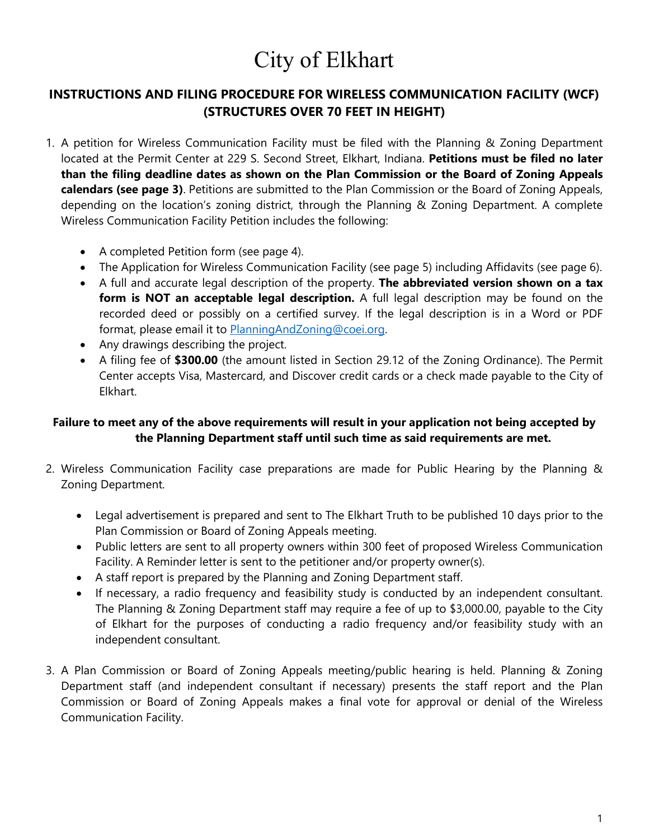# City of Elkhart

## **INSTRUCTIONS AND FILING PROCEDURE FOR WIRELESS COMMUNICATION FACILITY (WCF) (STRUCTURES OVER 70 FEET IN HEIGHT)**

- 1. A petition for Wireless Communication Facility must be filed with the Planning & Zoning Department located at the Permit Center at 229 S. Second Street, Elkhart, Indiana. **Petitions must be filed no later than the filing deadline dates as shown on the Plan Commission or the Board of Zoning Appeals calendars (see page 3)**. Petitions are submitted to the Plan Commission or the Board of Zoning Appeals, depending on the location's zoning district, through the Planning & Zoning Department. A complete Wireless Communication Facility Petition includes the following:
	- A completed Petition form (see page 4).
	- The Application for Wireless Communication Facility (see page 5) including Affidavits (see page 6).
	- A full and accurate legal description of the property. **The abbreviated version shown on a tax form is NOT an acceptable legal description.** A full legal description may be found on the recorded deed or possibly on a certified survey. If the legal description is in a Word or PDF format, please email it to [PlanningAndZoning@coei.org.](mailto:PlanningAndZoning@coei.org)
	- Any drawings describing the project.
	- A filing fee of **\$300.00** (the amount listed in Section 29.12 of the Zoning Ordinance). The Permit Center accepts Visa, Mastercard, and Discover credit cards or a check made payable to the City of Elkhart.

## **Failure to meet any of the above requirements will result in your application not being accepted by the Planning Department staff until such time as said requirements are met.**

- 2. Wireless Communication Facility case preparations are made for Public Hearing by the Planning & Zoning Department.
	- Legal advertisement is prepared and sent to The Elkhart Truth to be published 10 days prior to the Plan Commission or Board of Zoning Appeals meeting.
	- Public letters are sent to all property owners within 300 feet of proposed Wireless Communication Facility. A Reminder letter is sent to the petitioner and/or property owner(s).
	- A staff report is prepared by the Planning and Zoning Department staff.
	- If necessary, a radio frequency and feasibility study is conducted by an independent consultant. The Planning & Zoning Department staff may require a fee of up to \$3,000.00, payable to the City of Elkhart for the purposes of conducting a radio frequency and/or feasibility study with an independent consultant.
- 3. A Plan Commission or Board of Zoning Appeals meeting/public hearing is held. Planning & Zoning Department staff (and independent consultant if necessary) presents the staff report and the Plan Commission or Board of Zoning Appeals makes a final vote for approval or denial of the Wireless Communication Facility.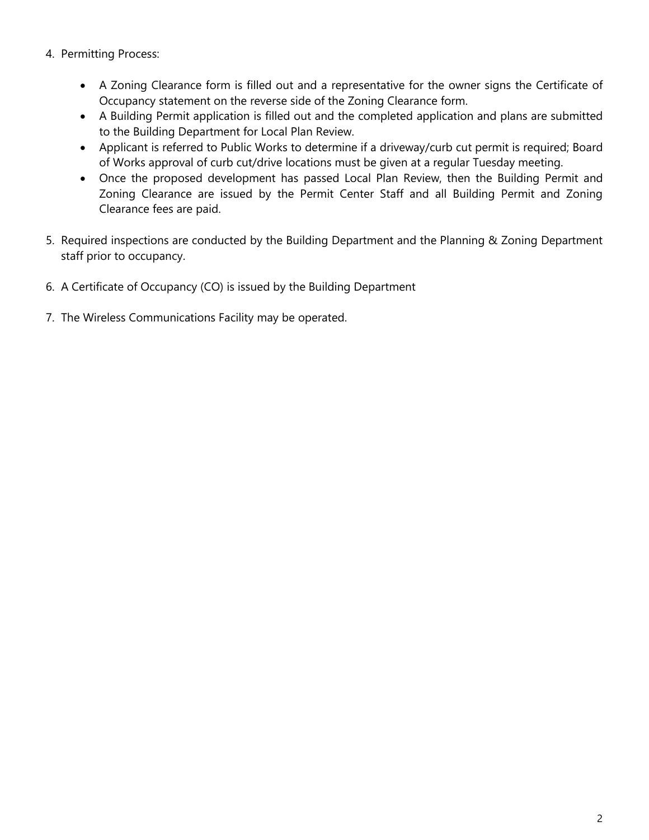- 4. Permitting Process:
	- A Zoning Clearance form is filled out and a representative for the owner signs the Certificate of Occupancy statement on the reverse side of the Zoning Clearance form.
	- A Building Permit application is filled out and the completed application and plans are submitted to the Building Department for Local Plan Review.
	- Applicant is referred to Public Works to determine if a driveway/curb cut permit is required; Board of Works approval of curb cut/drive locations must be given at a regular Tuesday meeting.
	- Once the proposed development has passed Local Plan Review, then the Building Permit and Zoning Clearance are issued by the Permit Center Staff and all Building Permit and Zoning Clearance fees are paid.
- 5. Required inspections are conducted by the Building Department and the Planning & Zoning Department staff prior to occupancy.
- 6. A Certificate of Occupancy (CO) is issued by the Building Department
- 7. The Wireless Communications Facility may be operated.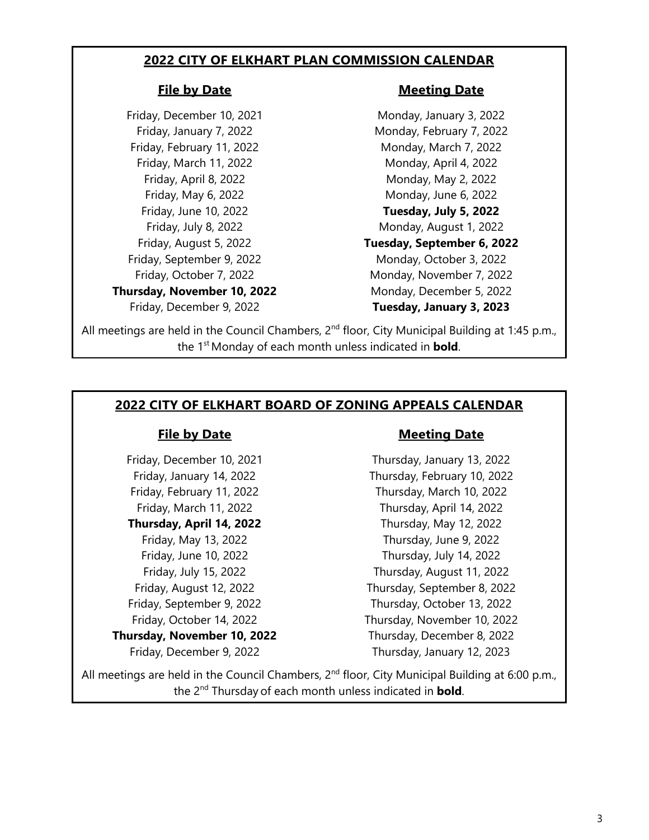## **2022 CITY OF ELKHART PLAN COMMISSION CALENDAR**

Friday, February 11, 2022 Monday, March 7, 2022 Friday, March 11, 2022 Monday, April 4, 2022 Friday, September 9, 2022 Monday, October 3, 2022 **Thursday, November 10, 2022** Monday, December 5, 2022

### **File by Date Meeting Date**

Friday, December 10, 2021 Monday, January 3, 2022 Friday, January 7, 2022 **Monday, February 7, 2022** Friday, April 8, 2022 Monday, May 2, 2022 Friday, May 6, 2022 Monday, June 6, 2022 Friday, June 10, 2022 **Tuesday, July 5, 2022** Friday, July 8, 2022 **Monday, August 1, 2022** Friday, August 5, 2022 **Tuesday, September 6, 2022** Friday, October 7, 2022 Monday, November 7, 2022 Friday, December 9, 2022 **Tuesday, January 3, 2023**

All meetings are held in the Council Chambers, 2<sup>nd</sup> floor, City Municipal Building at 1:45 p.m., the 1<sup>st</sup> Monday of each month unless indicated in **bold**.

## **2022 CITY OF ELKHART BOARD OF ZONING APPEALS CALENDAR**

### **File by Date Meeting Date**

Friday, December 10, 2021 Thursday, January 13, 2022 Friday, January 14, 2022 Thursday, February 10, 2022 Friday, February 11, 2022 Thursday, March 10, 2022 Friday, March 11, 2022 Thursday, April 14, 2022 **Thursday, April 14, 2022** Thursday, May 12, 2022 Friday, May 13, 2022 Thursday, June 9, 2022 Friday, June 10, 2022 Thursday, July 14, 2022 Friday, July 15, 2022 Thursday, August 11, 2022 Friday, August 12, 2022 Thursday, September 8, 2022 Friday, September 9, 2022 Thursday, October 13, 2022 Friday, October 14, 2022 Thursday, November 10, 2022 **Thursday, November 10, 2022** Thursday, December 8, 2022 Friday, December 9, 2022 Thursday, January 12, 2023

All meetings are held in the Council Chambers, 2<sup>nd</sup> floor, City Municipal Building at 6:00 p.m., the 2nd Thursday of each month unless indicated in **bold**.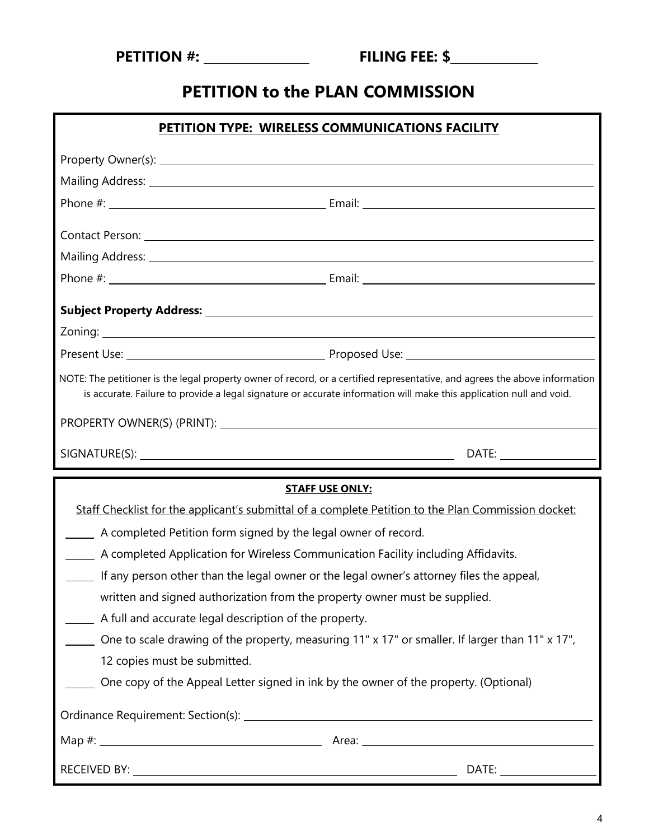# **PETITION to the PLAN COMMISSION**

| PETITION TYPE: WIRELESS COMMUNICATIONS FACILITY                                                                                                                                                                                                    |                                                                                                     |  |
|----------------------------------------------------------------------------------------------------------------------------------------------------------------------------------------------------------------------------------------------------|-----------------------------------------------------------------------------------------------------|--|
|                                                                                                                                                                                                                                                    |                                                                                                     |  |
|                                                                                                                                                                                                                                                    |                                                                                                     |  |
|                                                                                                                                                                                                                                                    |                                                                                                     |  |
|                                                                                                                                                                                                                                                    |                                                                                                     |  |
|                                                                                                                                                                                                                                                    | Contact Person: <u>Executive Contact Person:</u> Executive Contact Person:                          |  |
|                                                                                                                                                                                                                                                    |                                                                                                     |  |
|                                                                                                                                                                                                                                                    |                                                                                                     |  |
|                                                                                                                                                                                                                                                    |                                                                                                     |  |
|                                                                                                                                                                                                                                                    |                                                                                                     |  |
|                                                                                                                                                                                                                                                    |                                                                                                     |  |
| NOTE: The petitioner is the legal property owner of record, or a certified representative, and agrees the above information<br>is accurate. Failure to provide a legal signature or accurate information will make this application null and void. |                                                                                                     |  |
|                                                                                                                                                                                                                                                    |                                                                                                     |  |
|                                                                                                                                                                                                                                                    |                                                                                                     |  |
|                                                                                                                                                                                                                                                    |                                                                                                     |  |
|                                                                                                                                                                                                                                                    |                                                                                                     |  |
|                                                                                                                                                                                                                                                    | <b>STAFF USE ONLY:</b>                                                                              |  |
|                                                                                                                                                                                                                                                    | Staff Checklist for the applicant's submittal of a complete Petition to the Plan Commission docket: |  |
| A completed Petition form signed by the legal owner of record.                                                                                                                                                                                     |                                                                                                     |  |
|                                                                                                                                                                                                                                                    | A completed Application for Wireless Communication Facility including Affidavits.                   |  |
|                                                                                                                                                                                                                                                    | If any person other than the legal owner or the legal owner's attorney files the appeal,            |  |
|                                                                                                                                                                                                                                                    | written and signed authorization from the property owner must be supplied.                          |  |
| A full and accurate legal description of the property.                                                                                                                                                                                             |                                                                                                     |  |
|                                                                                                                                                                                                                                                    | One to scale drawing of the property, measuring 11" x 17" or smaller. If larger than 11" x 17",     |  |
| 12 copies must be submitted.                                                                                                                                                                                                                       | One copy of the Appeal Letter signed in ink by the owner of the property. (Optional)                |  |
|                                                                                                                                                                                                                                                    |                                                                                                     |  |
|                                                                                                                                                                                                                                                    |                                                                                                     |  |
|                                                                                                                                                                                                                                                    |                                                                                                     |  |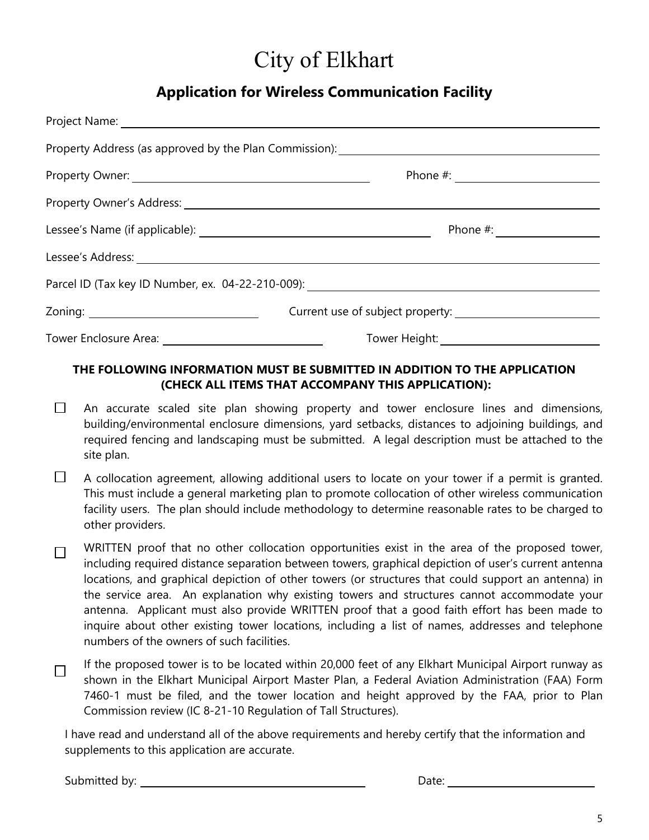# City of Elkhart

# **Application for Wireless Communication Facility**

| Property Address (as approved by the Plan Commission): __________________________ |
|-----------------------------------------------------------------------------------|
|                                                                                   |
|                                                                                   |
|                                                                                   |
|                                                                                   |
| Parcel ID (Tax key ID Number, ex. 04-22-210-009): ______________________________  |
|                                                                                   |
| Tower Height: ______________________                                              |

## **THE FOLLOWING INFORMATION MUST BE SUBMITTED IN ADDITION TO THE APPLICATION (CHECK ALL ITEMS THAT ACCOMPANY THIS APPLICATION):**

- $\Box$ An accurate scaled site plan showing property and tower enclosure lines and dimensions, building/environmental enclosure dimensions, yard setbacks, distances to adjoining buildings, and required fencing and landscaping must be submitted. A legal description must be attached to the site plan.
- $\Box$ A collocation agreement, allowing additional users to locate on your tower if a permit is granted. This must include a general marketing plan to promote collocation of other wireless communication facility users. The plan should include methodology to determine reasonable rates to be charged to other providers.

WRITTEN proof that no other collocation opportunities exist in the area of the proposed tower,  $\Box$ including required distance separation between towers, graphical depiction of user's current antenna locations, and graphical depiction of other towers (or structures that could support an antenna) in the service area. An explanation why existing towers and structures cannot accommodate your antenna. Applicant must also provide WRITTEN proof that a good faith effort has been made to inquire about other existing tower locations, including a list of names, addresses and telephone numbers of the owners of such facilities.

If the proposed tower is to be located within 20,000 feet of any Elkhart Municipal Airport runway as П shown in the Elkhart Municipal Airport Master Plan, a Federal Aviation Administration (FAA) Form 7460-1 must be filed, and the tower location and height approved by the FAA, prior to Plan Commission review (IC 8-21-10 Regulation of Tall Structures).

I have read and understand all of the above requirements and hereby certify that the information and supplements to this application are accurate.

Submitted by: Date: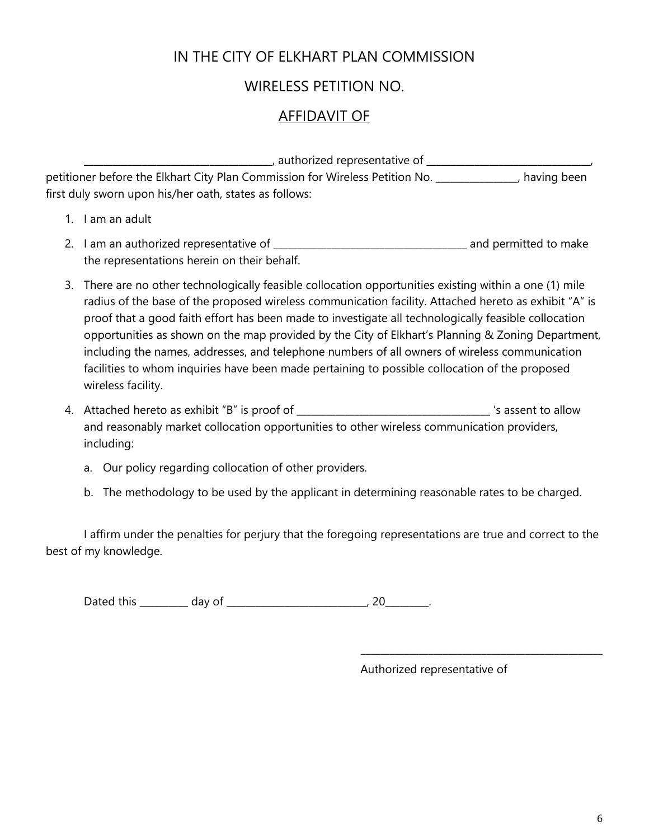## IN THE CITY OF ELKHART PLAN COMMISSION

## WIRELESS PETITION NO.

## AFFIDAVIT OF

\_\_\_\_\_\_\_\_\_\_\_\_\_\_\_\_\_\_\_\_\_\_\_\_\_\_\_\_\_\_\_\_\_\_\_\_\_\_\_, authorized representative of \_\_\_\_\_\_\_\_\_\_\_\_\_\_\_\_\_\_\_\_\_\_\_\_\_\_\_\_\_\_\_\_\_\_, petitioner before the Elkhart City Plan Commission for Wireless Petition No. \_\_\_\_\_\_\_\_\_\_\_\_\_, having been first duly sworn upon his/her oath, states as follows:

- 1. I am an adult
- 2. I am an authorized representative of \_\_\_\_\_\_\_\_\_\_\_\_\_\_\_\_\_\_\_\_\_\_\_\_\_\_\_\_\_\_\_\_\_\_\_\_\_\_\_\_ and permitted to make the representations herein on their behalf.
- 3. There are no other technologically feasible collocation opportunities existing within a one (1) mile radius of the base of the proposed wireless communication facility. Attached hereto as exhibit "A" is proof that a good faith effort has been made to investigate all technologically feasible collocation opportunities as shown on the map provided by the City of Elkhart's Planning & Zoning Department, including the names, addresses, and telephone numbers of all owners of wireless communication facilities to whom inquiries have been made pertaining to possible collocation of the proposed wireless facility.
- 4. Attached hereto as exhibit "B" is proof of \_\_\_\_\_\_\_\_\_\_\_\_\_\_\_\_\_\_\_\_\_\_\_\_\_\_\_\_\_\_\_\_\_\_\_\_\_\_\_\_ 's assent to allow and reasonably market collocation opportunities to other wireless communication providers, including:
	- a. Our policy regarding collocation of other providers.
	- b. The methodology to be used by the applicant in determining reasonable rates to be charged.

I affirm under the penalties for perjury that the foregoing representations are true and correct to the best of my knowledge.

Dated this day of the control of the control of the control of the control of the control of the control of the control of the control of the control of the control of the control of the control of the control of the contr

Authorized representative of

\_\_\_\_\_\_\_\_\_\_\_\_\_\_\_\_\_\_\_\_\_\_\_\_\_\_\_\_\_\_\_\_\_\_\_\_\_\_\_\_\_\_\_\_\_\_\_\_\_\_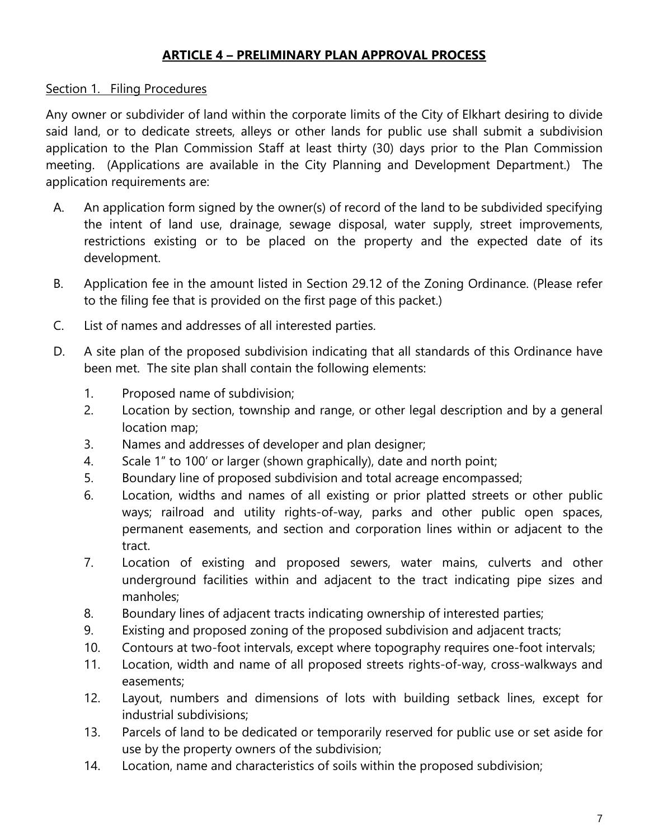## **ARTICLE 4 – PRELIMINARY PLAN APPROVAL PROCESS**

## Section 1. Filing Procedures

Any owner or subdivider of land within the corporate limits of the City of Elkhart desiring to divide said land, or to dedicate streets, alleys or other lands for public use shall submit a subdivision application to the Plan Commission Staff at least thirty (30) days prior to the Plan Commission meeting. (Applications are available in the City Planning and Development Department.) The application requirements are:

- A. An application form signed by the owner(s) of record of the land to be subdivided specifying the intent of land use, drainage, sewage disposal, water supply, street improvements, restrictions existing or to be placed on the property and the expected date of its development.
- B. Application fee in the amount listed in Section 29.12 of the Zoning Ordinance. (Please refer to the filing fee that is provided on the first page of this packet.)
- C. List of names and addresses of all interested parties.
- D. A site plan of the proposed subdivision indicating that all standards of this Ordinance have been met. The site plan shall contain the following elements:
	- 1. Proposed name of subdivision;
	- 2. Location by section, township and range, or other legal description and by a general location map;
	- 3. Names and addresses of developer and plan designer;
	- 4. Scale 1" to 100' or larger (shown graphically), date and north point;
	- 5. Boundary line of proposed subdivision and total acreage encompassed;
	- 6. Location, widths and names of all existing or prior platted streets or other public ways; railroad and utility rights-of-way, parks and other public open spaces, permanent easements, and section and corporation lines within or adjacent to the tract.
	- 7. Location of existing and proposed sewers, water mains, culverts and other underground facilities within and adjacent to the tract indicating pipe sizes and manholes;
	- 8. Boundary lines of adjacent tracts indicating ownership of interested parties;
	- 9. Existing and proposed zoning of the proposed subdivision and adjacent tracts;
	- 10. Contours at two-foot intervals, except where topography requires one-foot intervals;
	- 11. Location, width and name of all proposed streets rights-of-way, cross-walkways and easements;
	- 12. Layout, numbers and dimensions of lots with building setback lines, except for industrial subdivisions;
	- 13. Parcels of land to be dedicated or temporarily reserved for public use or set aside for use by the property owners of the subdivision;
	- 14. Location, name and characteristics of soils within the proposed subdivision;